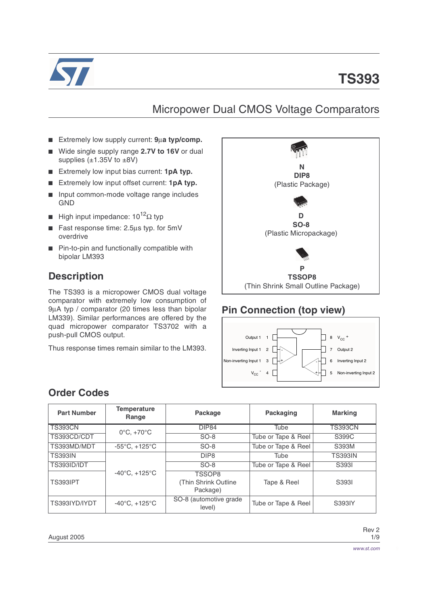

# **TS393**

### Micropower Dual CMOS Voltage Comparators

- Extremely low supply current: **9**µ**a typ/comp.**
- Wide single supply range 2.7V to 16V or dual supplies  $(\pm 1.35V)$  to  $\pm 8V$ )
- Extremely low input bias current: **1pA typ.**
- Extremely low input offset current: 1pA typ.
- Input common-mode voltage range includes GND
- High input impedance:  $10^{12}Ω$  typ
- Fast response time: 2.5µs typ. for 5mV overdrive
- Pin-to-pin and functionally compatible with bipolar LM393

#### **Description**

The TS393 is a micropower CMOS dual voltage comparator with extremely low consumption of 9µA typ / comparator (20 times less than bipolar LM339). Similar performances are offered by the quad micropower comparator TS3702 with a push-pull CMOS output.

Thus response times remain similar to the LM393.



#### **Pin Connection (top view)**



#### <span id="page-0-0"></span>**Order Codes**

| <b>Part Number</b> | <b>Temperature</b><br>Range       | Package                                     | Packaging           | <b>Marking</b> |
|--------------------|-----------------------------------|---------------------------------------------|---------------------|----------------|
| <b>TS393CN</b>     | $0^{\circ}$ C, $+70^{\circ}$ C    | <b>DIP84</b>                                | Tube                | <b>TS393CN</b> |
| TS393CD/CDT        |                                   | $SO-8$                                      | Tube or Tape & Reel | S399C          |
| TS393MD/MDT        | $-55^{\circ}$ C, $+125^{\circ}$ C | $SO-8$                                      | Tube or Tape & Reel | S393M          |
| <b>TS393IN</b>     |                                   | DIP <sub>8</sub>                            | Tube                | <b>TS393IN</b> |
| TS393ID/IDT        |                                   | $SO-8$                                      | Tube or Tape & Reel | S3931          |
| <b>TS393IPT</b>    | $-40^{\circ}$ C, $+125^{\circ}$ C | TSSOP8<br>(Thin Shrink Outline)<br>Package) | Tape & Reel         | S3931          |
| TS393IYD/IYDT      | $-40^{\circ}$ C, $+125^{\circ}$ C | SO-8 (automotive grade<br>level)            | Tube or Tape & Reel | S393IY         |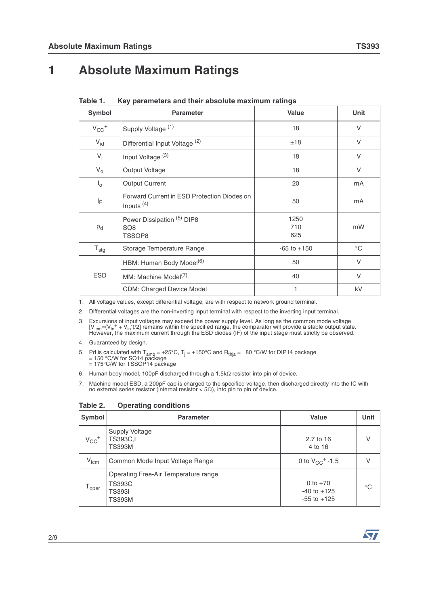## **1 Absolute Maximum Ratings**

| <b>Symbol</b>         | <b>Parameter</b>                                                   | Value              | Unit         |
|-----------------------|--------------------------------------------------------------------|--------------------|--------------|
| $V_{CC}$ <sup>+</sup> | Supply Voltage <sup>(1)</sup>                                      | 18                 | V            |
| $V_{\text{id}}$       | Differential Input Voltage <sup>(2)</sup>                          | ±18                | V            |
| $V_i$                 | Input Voltage <sup>(3)</sup>                                       | 18                 | V            |
| $V_{o}$               | Output Voltage                                                     | 18                 | V            |
| $I_{\circ}$           | <b>Output Current</b>                                              | 20                 | mA           |
| ΙF                    | Forward Current in ESD Protection Diodes on<br>Inputs $(4)$        | 50                 | mA           |
| P <sub>d</sub>        | Power Dissipation <sup>(5)</sup> DIP8<br>SO <sub>8</sub><br>TSSOP8 | 1250<br>710<br>625 | mW           |
| $T_{\text{stg}}$      | Storage Temperature Range                                          | $-65$ to $+150$    | $^{\circ}$ C |
|                       | HBM: Human Body Model <sup>(6)</sup>                               | 50                 | V            |
| <b>ESD</b>            | MM: Machine Model <sup>(7)</sup>                                   | 40                 | V            |
|                       | <b>CDM: Charged Device Model</b>                                   | 1                  | kV           |

<span id="page-1-0"></span>**Table 1. Key parameters and their absolute maximum ratings**

1. All voltage values, except differential voltage, are with respect to network ground terminal.

2. Differential voltages are the non-inverting input terminal with respect to the inverting input terminal.

3. Excursions of input voltages may exceed the power supply level. As long as the common mode voltage [V<sub>icm</sub>=(V<sub>in</sub><sup>+</sup> + V<sub>in</sub>)/2] remains within the specified range, the comparator will provide a stable output state.<br>Ho

4. Guaranteed by design.

٦

5. Pd is calculated with T<sub>amb</sub> = +25°C, T<sub>j</sub> = +150°C and R<sub>thja</sub> = 80 °C/W for DIP14 package<br>= 150 °C/W for SO14 package<br>= 175°C/W for TSSOP14 package

6. Human body model, 100pF discharged through a 1.5kΩ resistor into pin of device.

7. Machine model ESD, a 200pF cap is charged to the specified voltage, then discharged directly into the IC with no external series resistor (internal resistor <  $5Ω$ ), into pin to pin of device.

Т

| Symbol                | <b>Parameter</b>                                                                 | <b>Value</b>                                     | Unit        |
|-----------------------|----------------------------------------------------------------------------------|--------------------------------------------------|-------------|
| $V_{CC}$ <sup>+</sup> | Supply Voltage<br>TS393C.I<br><b>TS393M</b>                                      | 2.7 to 16<br>4 to 16                             | V           |
| $V_{icm}$             | Common Mode Input Voltage Range                                                  | 0 to $V_{CC}$ <sup>+</sup> -1.5                  | V           |
| <sup>1</sup> oper     | Operating Free-Air Temperature range<br>TS393C<br><b>TS393I</b><br><b>TS393M</b> | 0 to $+70$<br>$-40$ to $+125$<br>$-55$ to $+125$ | $^{\circ}C$ |

**Table 2. Operating conditions** 



٦

т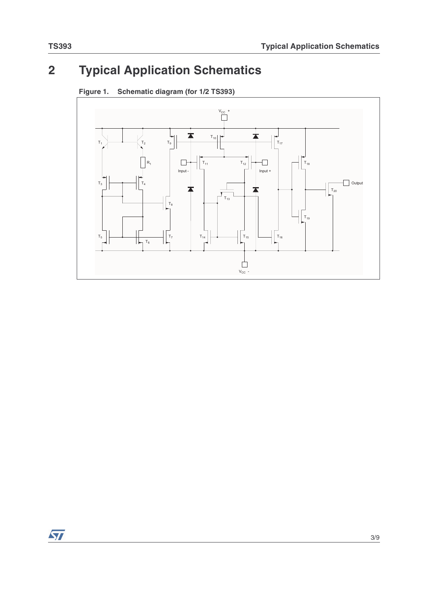# **2 Typical Application Schematics**



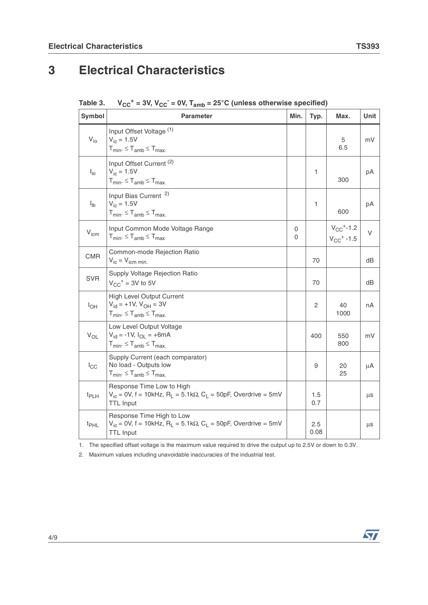# **3 Electrical Characteristics**

| <b>Symbol</b>    | <b>Parameter</b>                                                                                                                                   | Min.   | Typ.         | Max.                                                     | Unit |
|------------------|----------------------------------------------------------------------------------------------------------------------------------------------------|--------|--------------|----------------------------------------------------------|------|
| $V_{i0}$         | Input Offset Voltage (1)<br>$V_{ic} = 1.5V$<br>$T_{min}$ . $\leq T_{amb} \leq T_{max}$ .                                                           |        |              | 5<br>6.5                                                 | mV   |
| $I_{\text{io}}$  | Input Offset Current <sup>(2)</sup><br>$V_{ic} = 1.5V$<br>$T_{min} \leq T_{amb} \leq T_{max}$                                                      |        | 1            | 300                                                      | рA   |
| $I_{ib}$         | Input Bias Current <sup>2)</sup><br>$V_{ic} = 1.5V$<br>$T_{min}$ . $\leq T_{amb} \leq T_{max}$ .                                                   |        | 1            | 600                                                      | рA   |
| V <sub>icm</sub> | Input Common Mode Voltage Range<br>$T_{min} \leq T_{amb} \leq T_{max}$                                                                             | 0<br>0 |              | $V_{CC}$ <sup>+</sup> -1.2<br>$V_{CC}$ <sup>+</sup> -1.5 | V    |
| <b>CMR</b>       | Common-mode Rejection Ratio<br>$V_{ic} = V_{icm min.}$                                                                                             |        | 70           |                                                          | dB   |
| <b>SVR</b>       | Supply Voltage Rejection Ratio<br>$V_{CC}$ <sup>+</sup> = 3V to 5V                                                                                 |        | 70           |                                                          | dВ   |
| $I_{OH}$         | <b>High Level Output Current</b><br>$V_{\text{id}} = +1V$ , $V_{\text{OH}} = 3V$<br>$T_{min}$ . $\leq T_{amb} \leq T_{max}$ .                      |        | $\mathbf{2}$ | 40<br>1000                                               | nA   |
| $V_{OL}$         | Low Level Output Voltage<br>$V_{\text{id}} = -1V$ , $I_{\text{OL}} = +6mA$<br>$T_{min}$ . $\leq T_{amb} \leq T_{max}$ .                            |        | 400          | 550<br>800                                               | mV   |
| $I_{\rm CC}$     | Supply Current (each comparator)<br>No load - Outputs low<br>$T_{min}$ . $\leq T_{amb} \leq T_{max}$ .                                             |        | 9            | 20<br>25                                                 | μA   |
| $t_{PLH}$        | Response Time Low to High<br>$V_{ic}$ = 0V, f = 10kHz, R <sub>1</sub> = 5.1kΩ, C <sub>1</sub> = 50pF, Overdrive = 5mV<br><b>TTL Input</b>          |        | 1.5<br>0.7   |                                                          | μs   |
| t <sub>PHL</sub> | Response Time High to Low<br>$V_{ic}$ = 0V, f = 10kHz, R <sub>L</sub> = 5.1k $\Omega$ , C <sub>L</sub> = 50pF, Overdrive = 5mV<br><b>TTL Input</b> |        | 2.5<br>0.08  |                                                          | μs   |

1. The specified offset voltage is the maximum value required to drive the output up to 2.5V or down to 0.3V.

2. Maximum values including unavoidable inaccuracies of the industrial test.

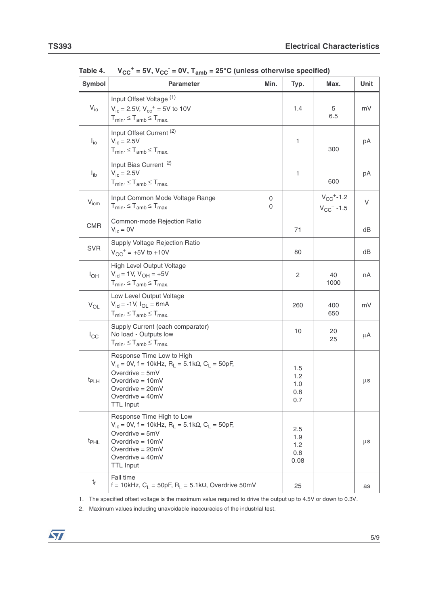| Symbol            | <b>Parameter</b>                                                                                                                                                                                                           | Min.   | Typ.                             | Max.                                                     | Unit |
|-------------------|----------------------------------------------------------------------------------------------------------------------------------------------------------------------------------------------------------------------------|--------|----------------------------------|----------------------------------------------------------|------|
| $V_{i0}$          | Input Offset Voltage (1)<br>$V_{\text{ic}} = 2.5V$ , $V_{\text{cc}}^+ = 5V$ to 10V<br>$T_{min}$ . $\leq T_{amb} \leq T_{max}$ .                                                                                            |        | 1.4                              | 5<br>6.5                                                 | mV   |
| $I_{io}$          | Input Offset Current <sup>(2)</sup><br>$V_{ic} = 2.5V$<br>$T_{min}$ . $\leq T_{amb} \leq T_{max}$ .                                                                                                                        |        | 1                                | 300                                                      | рA   |
| $I_{ib}$          | Input Bias Current <sup>2)</sup><br>$V_{ic} = 2.5V$<br>$T_{min}$ . $\leq T_{amb} \leq T_{max}$ .                                                                                                                           |        | 1                                | 600                                                      | рA   |
| $V_{icm}$         | Input Common Mode Voltage Range<br>$T_{min}$ . $\leq T_{amb} \leq T_{max}$                                                                                                                                                 | 0<br>0 |                                  | $V_{CC}$ <sup>+</sup> -1.2<br>$V_{CC}$ <sup>+</sup> -1.5 | V    |
| <b>CMR</b>        | Common-mode Rejection Ratio<br>$V_{\text{ic}} = 0V$                                                                                                                                                                        |        | 71                               |                                                          | dB   |
| <b>SVR</b>        | Supply Voltage Rejection Ratio<br>$V_{CC}$ <sup>+</sup> = +5V to +10V                                                                                                                                                      |        | 80                               |                                                          | dB   |
| $I_{OH}$          | High Level Output Voltage<br>$V_{\text{id}} = 1V$ , $V_{\text{OH}} = +5V$<br>$T_{min}$ . $\leq T_{amb} \leq T_{max}$ .                                                                                                     |        | $\overline{2}$                   | 40<br>1000                                               | nA   |
| $\mathrm{V_{OL}}$ | Low Level Output Voltage<br>$V_{\rm id} = -1V$ , $I_{\rm OL} = 6mA$<br>$T_{min}$ . $\leq T_{amb} \leq T_{max}$ .                                                                                                           |        | 260                              | 400<br>650                                               | mV   |
| $I_{\rm CC}$      | Supply Current (each comparator)<br>No load - Outputs low<br>$T_{min}$ . $\leq T_{amb} \leq T_{max}$ .                                                                                                                     |        | 10                               | 20<br>25                                                 | μA   |
| t <sub>PLH</sub>  | Response Time Low to High<br>$V_{ic}$ = 0V, f = 10kHz, R <sub>L</sub> = 5.1k $\Omega$ , C <sub>L</sub> = 50pF,<br>Overdrive $= 5mV$<br>Overdrive $= 10$ mV<br>Overdrive $= 20mV$<br>Overdrive $=$ 40mV<br><b>TTL Input</b> |        | 1.5<br>1.2<br>1.0<br>0.8<br>0.7  |                                                          | μs   |
| t <sub>PHL</sub>  | Response Time High to Low<br>$V_{ic}$ = 0V, f = 10kHz, R <sub>L</sub> = 5.1k $\Omega$ , C <sub>L</sub> = 50pF,<br>Overdrive = $5mV$<br>Overdrive = $10mV$<br>Overdrive = $20mV$<br>Overdrive $=$ 40mV<br><b>TTL Input</b>  |        | 2.5<br>1.9<br>1.2<br>0.8<br>0.08 |                                                          | μs   |
| t <sub>f</sub>    | Fall time<br>f = 10kHz, $C_1$ = 50pF, $R_1$ = 5.1k $\Omega$ , Overdrive 50mV                                                                                                                                               |        | 25                               |                                                          | as   |

Table 4.  $V_{CC}^+$  = 5V,  $V_{CC}^-$  = 0V,  $T_{amb}$  = 25°C (unless otherwise specified)

1. The specified offset voltage is the maximum value required to drive the output up to 4.5V or down to 0.3V.

2. Maximum values including unavoidable inaccuracies of the industrial test.

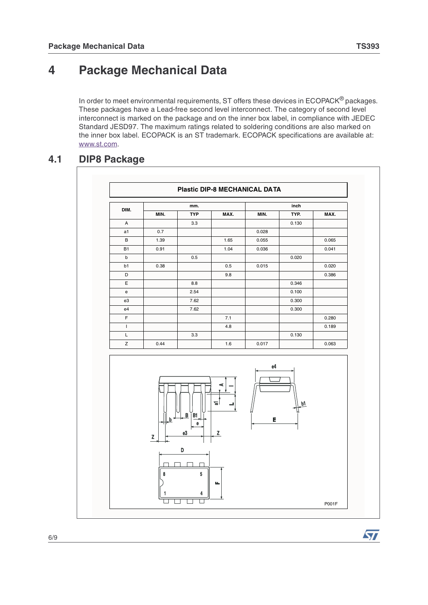## **4 Package Mechanical Data**

In order to meet environmental requirements, ST offers these devices in ECOPACK<sup>®</sup> packages. These packages have a Lead-free second level interconnect. The category of second level interconnect is marked on the package and on the inner box label, in compliance with JEDEC Standard JESD97. The maximum ratings related to soldering conditions are also marked on the inner box label. ECOPACK is an ST trademark. ECOPACK specifications are available at: www.st.com.

#### **4.1 DIP8 Package**



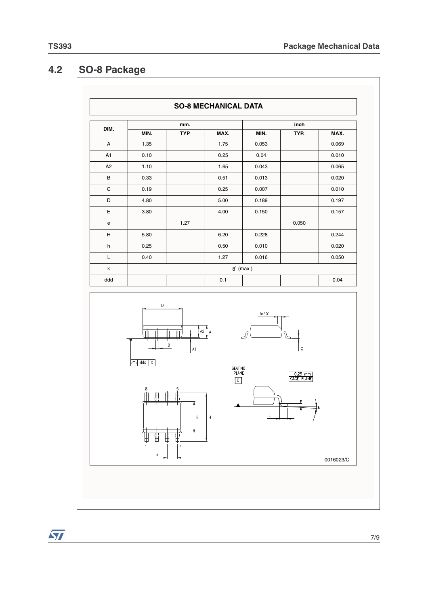#### **4.2 SO-8 Package**

**SO-8 MECHANICAL DATA mm. inch DIM.** MIN. | TYP | MAX. | MIN. | TYP. | MAX. A | 1.35 | | 1.75 | 0.053 | | 0.069 A1 | 0.10 | | 0.25 | 0.04 | | 0.010 A2 1.10 1.65 0.043 0.065 B 0.33 | 0.51 0.013 | 0.020 C 0.19 0.25 0.007 0.010 D | 4.80 | | 5.00 | 0.189 | | 0.197 E 3.80 4.00 0.150 0.157 e | 1.27 | | 1.27 | 0.050 H | 5.80 | | 6.20 | 0.228 | | 0.244 h 0.25 0.50 0.010 0.020 L 0.40 1.27 0.016 0.050 k  $\qquad \qquad \qquad \text{8}^\circ \; \text{(max.)}$ ddd 0.1 0.04  $\overline{D}$  $hx45^{\circ}$  $A2$   $A$ Ħт  $\,$  B  $\mathcal{C}$ 



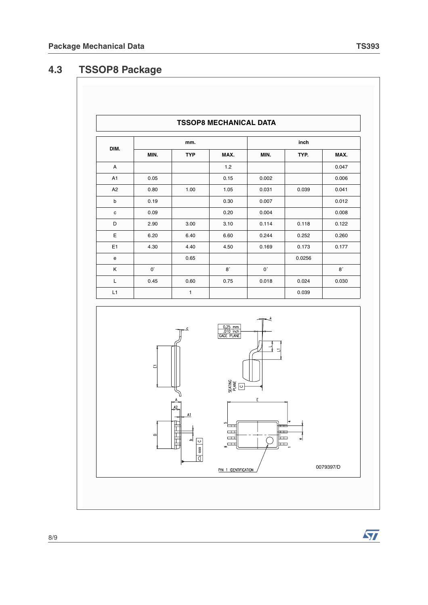## **4.3 TSSOP8 Package**

|                | <b>TSSOP8 MECHANICAL DATA</b> |            |           |             |        |       |  |
|----------------|-------------------------------|------------|-----------|-------------|--------|-------|--|
| DIM.           |                               | mm.        |           |             | inch   |       |  |
|                | MIN.                          | <b>TYP</b> | MAX.      | MIN.        | TYP.   | MAX.  |  |
| A              |                               |            | 1.2       |             |        | 0.047 |  |
| A <sub>1</sub> | 0.05                          |            | 0.15      | 0.002       |        | 0.006 |  |
| A <sub>2</sub> | 0.80                          | 1.00       | 1.05      | 0.031       | 0.039  | 0.041 |  |
| b              | 0.19                          |            | 0.30      | 0.007       |        | 0.012 |  |
| $\mathbf c$    | 0.09                          |            | 0.20      | 0.004       |        | 0.008 |  |
| D              | 2.90                          | 3.00       | 3.10      | 0.114       | 0.118  | 0.122 |  |
| E              | 6.20                          | 6.40       | 6.60      | 0.244       | 0.252  | 0.260 |  |
| E <sub>1</sub> | 4.30                          | 4.40       | 4.50      | 0.169       | 0.173  | 0.177 |  |
| e              |                               | 0.65       |           |             | 0.0256 |       |  |
| Κ              | $0^{\circ}$                   |            | $8^\circ$ | $0^{\circ}$ |        | 8°    |  |
| L              | 0.45                          | 0.60       | 0.75      | 0.018       | 0.024  | 0.030 |  |
| L1             |                               | 1          |           |             | 0.039  |       |  |